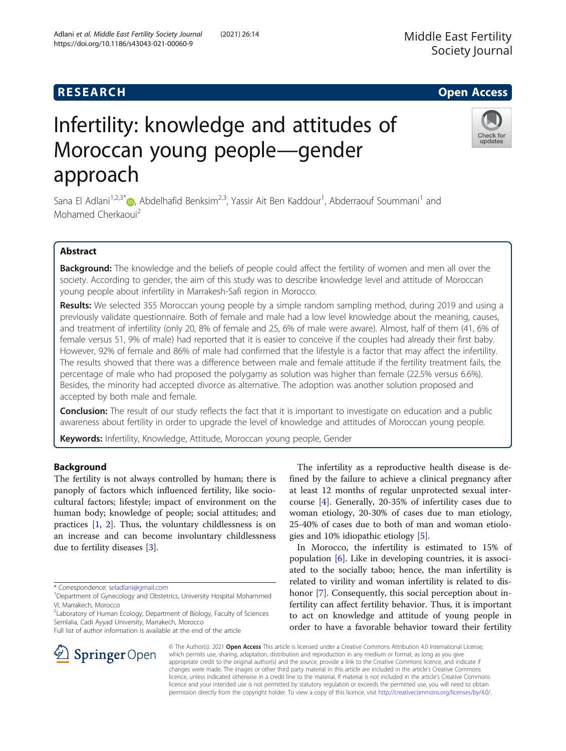## **RESEARCH CHILD CONTROL** CONTROL CONTROL CONTROL CONTROL CONTROL CONTROL CONTROL CONTROL CONTROL CONTROL CONTROL

# Infertility: knowledge and attitudes of Moroccan young people—gender approach

Sana El Adlani<sup>1[,](http://orcid.org/0000-0002-1814-3208)2,3\*</sup>®, Abdelhafid Benksim<sup>2,3</sup>, Yassir Ait Ben Kaddour<sup>1</sup>, Abderraouf Soummani<sup>1</sup> and Mohamed Cherkaoui<sup>2</sup>

## Abstract

Background: The knowledge and the beliefs of people could affect the fertility of women and men all over the society. According to gender, the aim of this study was to describe knowledge level and attitude of Moroccan young people about infertility in Marrakesh-Safi region in Morocco.

Results: We selected 355 Moroccan young people by a simple random sampling method, during 2019 and using a previously validate questionnaire. Both of female and male had a low level knowledge about the meaning, causes, and treatment of infertility (only 20, 8% of female and 25, 6% of male were aware). Almost, half of them (41, 6% of female versus 51, 9% of male) had reported that it is easier to conceive if the couples had already their first baby. However, 92% of female and 86% of male had confirmed that the lifestyle is a factor that may affect the infertility. The results showed that there was a difference between male and female attitude if the fertility treatment fails, the percentage of male who had proposed the polygamy as solution was higher than female (22.5% versus 6.6%). Besides, the minority had accepted divorce as alternative. The adoption was another solution proposed and accepted by both male and female.

**Conclusion:** The result of our study reflects the fact that it is important to investigate on education and a public awareness about fertility in order to upgrade the level of knowledge and attitudes of Moroccan young people.

Keywords: Infertility, Knowledge, Attitude, Moroccan young people, Gender

## Background

The fertility is not always controlled by human; there is panoply of factors which influenced fertility, like sociocultural factors; lifestyle; impact of environment on the human body; knowledge of people; social attitudes; and practices [\[1,](#page-3-0) [2](#page-3-0)]. Thus, the voluntary childlessness is on an increase and can become involuntary childlessness due to fertility diseases [\[3](#page-3-0)].

The infertility as a reproductive health disease is defined by the failure to achieve a clinical pregnancy after at least 12 months of regular unprotected sexual intercourse [[4\]](#page-3-0). Generally, 20-35% of infertility cases due to woman etiology, 20-30% of cases due to man etiology, 25-40% of cases due to both of man and woman etiologies and 10% idiopathic etiology [\[5](#page-3-0)].

In Morocco, the infertility is estimated to 15% of population [\[6](#page-3-0)]. Like in developing countries, it is associated to the socially taboo; hence, the man infertility is related to virility and woman infertility is related to dis-honor [[7\]](#page-3-0). Consequently, this social perception about infertility can affect fertility behavior. Thus, it is important to act on knowledge and attitude of young people in order to have a favorable behavior toward their fertility

© The Author(s). 2021 Open Access This article is licensed under a Creative Commons Attribution 4.0 International License, which permits use, sharing, adaptation, distribution and reproduction in any medium or format, as long as you give appropriate credit to the original author(s) and the source, provide a link to the Creative Commons licence, and indicate if changes were made. The images or other third party material in this article are included in the article's Creative Commons licence, unless indicated otherwise in a credit line to the material. If material is not included in the article's Creative Commons licence and your intended use is not permitted by statutory regulation or exceeds the permitted use, you will need to obtain permission directly from the copyright holder. To view a copy of this licence, visit <http://creativecommons.org/licenses/by/4.0/>.





<sup>\*</sup> Correspondence: [seladlani@gmail.com](mailto:seladlani@gmail.com) <sup>1</sup>

<sup>&</sup>lt;sup>1</sup>Department of Gynecology and Obstetrics, University Hospital Mohammed VI, Marrakech, Morocco

<sup>&</sup>lt;sup>2</sup>Laboratory of Human Ecology, Department of Biology, Faculty of Sciences Semlalia, Cadi Ayyad University, Marrakech, Morocco

Full list of author information is available at the end of the article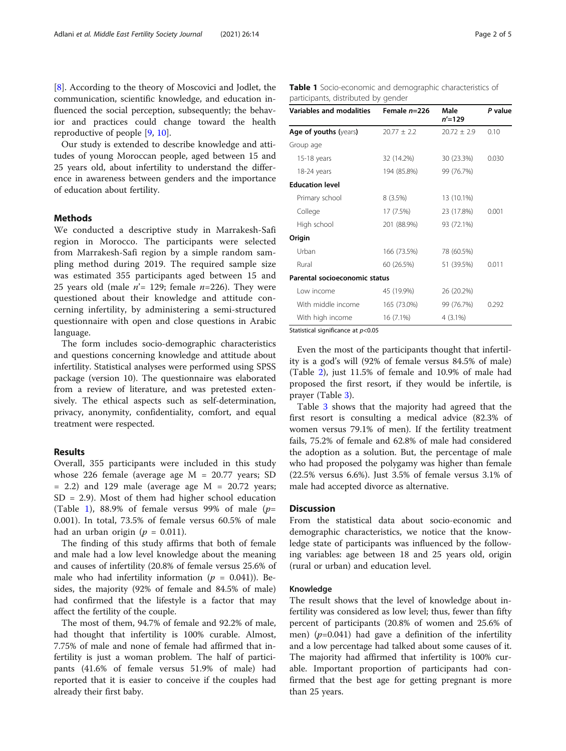[[8\]](#page-3-0). According to the theory of Moscovici and Jodlet, the communication, scientific knowledge, and education influenced the social perception, subsequently; the behavior and practices could change toward the health reproductive of people [\[9](#page-3-0), [10](#page-4-0)].

Our study is extended to describe knowledge and attitudes of young Moroccan people, aged between 15 and 25 years old, about infertility to understand the difference in awareness between genders and the importance of education about fertility.

#### Methods

We conducted a descriptive study in Marrakesh-Safi region in Morocco. The participants were selected from Marrakesh-Safi region by a simple random sampling method during 2019. The required sample size was estimated 355 participants aged between 15 and 25 years old (male  $n'$ = 129; female  $n=226$ ). They were questioned about their knowledge and attitude concerning infertility, by administering a semi-structured questionnaire with open and close questions in Arabic language.

The form includes socio-demographic characteristics and questions concerning knowledge and attitude about infertility. Statistical analyses were performed using SPSS package (version 10). The questionnaire was elaborated from a review of literature, and was pretested extensively. The ethical aspects such as self-determination, privacy, anonymity, confidentiality, comfort, and equal treatment were respected.

### Results

Overall, 355 participants were included in this study whose 226 female (average age M = 20.77 years; SD  $= 2.2$ ) and 129 male (average age  $M = 20.72$  years;  $SD = 2.9$ ). Most of them had higher school education (Table 1), 88.9% of female versus 99% of male  $(p=$ 0.001). In total, 73.5% of female versus 60.5% of male had an urban origin ( $p = 0.011$ ).

The finding of this study affirms that both of female and male had a low level knowledge about the meaning and causes of infertility (20.8% of female versus 25.6% of male who had infertility information ( $p = 0.041$ )). Besides, the majority (92% of female and 84.5% of male) had confirmed that the lifestyle is a factor that may affect the fertility of the couple.

The most of them, 94.7% of female and 92.2% of male, had thought that infertility is 100% curable. Almost, 7.75% of male and none of female had affirmed that infertility is just a woman problem. The half of participants (41.6% of female versus 51.9% of male) had reported that it is easier to conceive if the couples had already their first baby.

Table 1 Socio-economic and demographic characteristics of participants, distributed by gender

| <b>Variables and modalities</b> | Female $n=226$  | Male<br>$n' = 129$ | P value |
|---------------------------------|-----------------|--------------------|---------|
| <b>Age of youths (years)</b>    | $20.77 \pm 2.2$ | $20.72 \pm 2.9$    | 0.10    |
| Group age                       |                 |                    |         |
| 15-18 years                     | 32 (14.2%)      | 30 (23.3%)         | 0.030   |
| 18-24 years                     | 194 (85.8%)     | 99 (76.7%)         |         |
| <b>Education level</b>          |                 |                    |         |
| Primary school                  | 8 (3.5%)        | 13 (10.1%)         |         |
| College                         | 17 (7.5%)       | 23 (17.8%)         | 0.001   |
| High school                     | 201 (88.9%)     | 93 (72.1%)         |         |
| Origin                          |                 |                    |         |
| Urban                           | 166 (73.5%)     | 78 (60.5%)         |         |
| Rural                           | 60 (26.5%)      | 51 (39.5%)         | 0.011   |
| Parental socioeconomic status   |                 |                    |         |
| Low income                      | 45 (19.9%)      | 26 (20.2%)         |         |
| With middle income              | 165 (73.0%)     | 99 (76.7%)         | 0.292   |
| With high income                | 16 (7.1%)       | 4 (3.1%)           |         |

Statistical significance at  $p<$  0.05

Even the most of the participants thought that infertility is a god's will (92% of female versus 84.5% of male) (Table [2](#page-2-0)), just 11.5% of female and 10.9% of male had proposed the first resort, if they would be infertile, is prayer (Table [3](#page-2-0)).

Table [3](#page-2-0) shows that the majority had agreed that the first resort is consulting a medical advice (82.3% of women versus 79.1% of men). If the fertility treatment fails, 75.2% of female and 62.8% of male had considered the adoption as a solution. But, the percentage of male who had proposed the polygamy was higher than female (22.5% versus 6.6%). Just 3.5% of female versus 3.1% of male had accepted divorce as alternative.

## **Discussion**

From the statistical data about socio-economic and demographic characteristics, we notice that the knowledge state of participants was influenced by the following variables: age between 18 and 25 years old, origin (rural or urban) and education level.

#### Knowledge

The result shows that the level of knowledge about infertility was considered as low level; thus, fewer than fifty percent of participants (20.8% of women and 25.6% of men) ( $p=0.041$ ) had gave a definition of the infertility and a low percentage had talked about some causes of it. The majority had affirmed that infertility is 100% curable. Important proportion of participants had confirmed that the best age for getting pregnant is more than 25 years.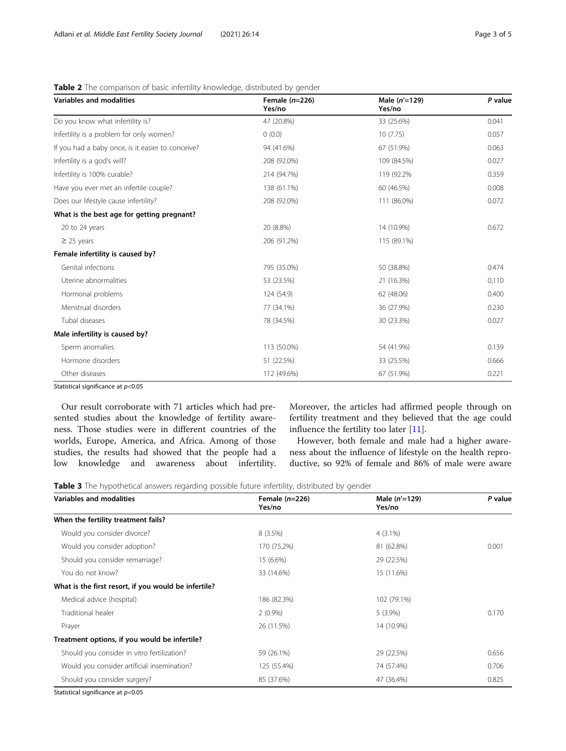| <b>Variables and modalities</b>                   | Female $(n=226)$<br>Yes/no | Male (n'=129)<br>Yes/no | P value |
|---------------------------------------------------|----------------------------|-------------------------|---------|
| Do you know what infertility is?                  | 47 (20.8%)                 | 33 (25.6%)              | 0.041   |
| Infertility is a problem for only women?          | 0(0.0)                     | 10(7.75)                | 0.057   |
| If you had a baby once, is it easier to conceive? | 94 (41.6%)                 | 67 (51.9%)              | 0.063   |
| Infertility is a god's will?                      | 208 (92.0%)                | 109 (84.5%)             | 0.027   |
| Infertility is 100% curable?                      | 214 (94.7%)                | 119 (92.2%)             | 0.359   |
| Have you ever met an infertile couple?            | 138 (61.1%)                | 60 (46.5%)              | 0.008   |
| Does our lifestyle cause infertility?             | 208 (92.0%)                | 111 (86.0%)             | 0.072   |
| What is the best age for getting pregnant?        |                            |                         |         |
| 20 to 24 years                                    | 20 (8.8%)                  | 14 (10.9%)              | 0.672   |
| $\geq$ 25 years                                   | 206 (91.2%)                | 115 (89.1%)             |         |
| Female infertility is caused by?                  |                            |                         |         |
| Genital infections                                | 795 (35.0%)                | 50 (38.8%)              | 0.474   |
| Uterine abnormalities                             | 53 (23.5%)                 | 21 (16.3%)              | 0,110   |
| Hormonal problems                                 | 124 (54.9)                 | 62 (48.06)              | 0.400   |
| Menstrual disorders                               | 77 (34.1%)                 | 36 (27.9%)              | 0.230   |
| Tubal diseases                                    | 78 (34.5%)                 | 30 (23.3%)              | 0.027   |
| Male infertility is caused by?                    |                            |                         |         |
| Sperm anomalies                                   | 113 (50.0%)                | 54 (41.9%)              | 0.139   |
| Hormone disorders                                 | 51 (22.5%)                 | 33 (25.5%)              | 0.666   |
| Other diseases                                    | 112 (49.6%)                | 67 (51.9%)              | 0.221   |

<span id="page-2-0"></span>Table 2 The comparison of basic infertility knowledge, distributed by gender

Statistical significance at  $p<0.05$ 

Our result corroborate with 71 articles which had presented studies about the knowledge of fertility awareness. Those studies were in different countries of the worlds, Europe, America, and Africa. Among of those studies, the results had showed that the people had a low knowledge and awareness about infertility. Moreover, the articles had affirmed people through on fertility treatment and they believed that the age could influence the fertility too later [[11\]](#page-4-0).

However, both female and male had a higher awareness about the influence of lifestyle on the health reproductive, so 92% of female and 86% of male were aware

Table 3 The hypothetical answers regarding possible future infertility, distributed by gender

| Variables and modalities                             | Female $(n=226)$<br>Yes/no | Male $(n'=129)$<br>Yes/no | P value |
|------------------------------------------------------|----------------------------|---------------------------|---------|
| When the fertility treatment fails?                  |                            |                           |         |
| Would you consider divorce?                          | $8(3.5\%)$                 | $4(3.1\%)$                |         |
| Would you consider adoption?                         | 170 (75.2%)                | 81 (62.8%)                | 0.001   |
| Should you consider remarriage?                      | 15 (6.6%)                  | 29 (22.5%)                |         |
| You do not know?                                     | 33 (14.6%)                 | 15 (11.6%)                |         |
| What is the first resort, if you would be infertile? |                            |                           |         |
| Medical advice (hospital)                            | 186 (82.3%)                | 102 (79.1%)               |         |
| Traditional healer                                   | $2(0.9\%)$                 | $5(3.9\%)$                | 0.170   |
| Prayer                                               | 26 (11.5%)                 | 14 (10.9%)                |         |
| Treatment options, if you would be infertile?        |                            |                           |         |
| Should you consider in vitro fertilization?          | 59 (26.1%)                 | 29 (22.5%)                | 0.656   |
| Would you consider artificial insemination?          | 125 (55.4%)                | 74 (57.4%)                | 0.706   |
| Should you consider surgery?                         | 85 (37.6%)                 | 47 (36.4%)                | 0.825   |

Statistical significance at  $p<$  0.05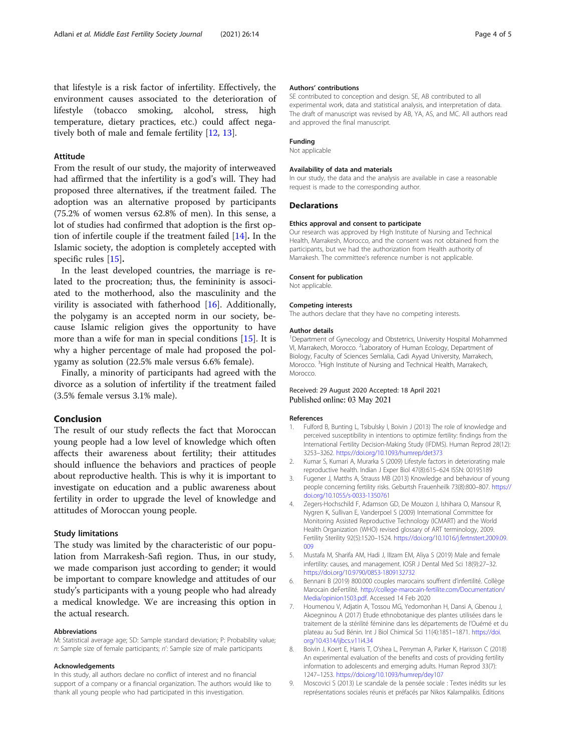<span id="page-3-0"></span>that lifestyle is a risk factor of infertility. Effectively, the environment causes associated to the deterioration of lifestyle (tobacco smoking, alcohol, stress, high temperature, dietary practices, etc.) could affect negatively both of male and female fertility [\[12](#page-4-0), [13](#page-4-0)].

#### Attitude

From the result of our study, the majority of interweaved had affirmed that the infertility is a god's will. They had proposed three alternatives, if the treatment failed. The adoption was an alternative proposed by participants (75.2% of women versus 62.8% of men). In this sense, a lot of studies had confirmed that adoption is the first option of infertile couple if the treatment failed [\[14](#page-4-0)]. In the Islamic society, the adoption is completely accepted with specific rules [[15](#page-4-0)].

In the least developed countries, the marriage is related to the procreation; thus, the femininity is associated to the motherhood, also the masculinity and the virility is associated with fatherhood [[16](#page-4-0)]. Additionally, the polygamy is an accepted norm in our society, because Islamic religion gives the opportunity to have more than a wife for man in special conditions [\[15](#page-4-0)]. It is why a higher percentage of male had proposed the polygamy as solution (22.5% male versus 6.6% female).

Finally, a minority of participants had agreed with the divorce as a solution of infertility if the treatment failed (3.5% female versus 3.1% male).

#### Conclusion

The result of our study reflects the fact that Moroccan young people had a low level of knowledge which often affects their awareness about fertility; their attitudes should influence the behaviors and practices of people about reproductive health. This is why it is important to investigate on education and a public awareness about fertility in order to upgrade the level of knowledge and attitudes of Moroccan young people.

#### Study limitations

The study was limited by the characteristic of our population from Marrakesh-Safi region. Thus, in our study, we made comparison just according to gender; it would be important to compare knowledge and attitudes of our study's participants with a young people who had already a medical knowledge. We are increasing this option in the actual research.

#### Abbreviations

M: Statistical average age; SD: Sample standard deviation; P: Probability value; n: Sample size of female participants; n': Sample size of male participants

#### Acknowledgements

In this study, all authors declare no conflict of interest and no financial support of a company or a financial organization. The authors would like to thank all young people who had participated in this investigation.

#### Authors' contributions

SE contributed to conception and design. SE, AB contributed to all experimental work, data and statistical analysis, and interpretation of data. The draft of manuscript was revised by AB, YA, AS, and MC. All authors read and approved the final manuscript.

#### Funding

Not applicable

#### Availability of data and materials

In our study, the data and the analysis are available in case a reasonable request is made to the corresponding author.

#### **Declarations**

#### Ethics approval and consent to participate

Our research was approved by High Institute of Nursing and Technical Health, Marrakesh, Morocco, and the consent was not obtained from the participants, but we had the authorization from Health authority of Marrakesh. The committee's reference number is not applicable.

#### Consent for publication

Not applicable.

#### Competing interests

The authors declare that they have no competing interests.

#### Author details

<sup>1</sup>Department of Gynecology and Obstetrics, University Hospital Mohammed VI, Marrakech, Morocco. <sup>2</sup> Laboratory of Human Ecology, Department of Biology, Faculty of Sciences Semlalia, Cadi Ayyad University, Marrakech, Morocco. <sup>3</sup>High Institute of Nursing and Technical Health, Marrakech, Morocco.

#### Received: 29 August 2020 Accepted: 18 April 2021 Published online: 03 May 2021

#### References

- 1. Fulford B, Bunting L, Tsibulsky I, Boivin J (2013) The role of knowledge and perceived susceptibility in intentions to optimize fertility: findings from the International Fertility Decision-Making Study (IFDMS). Human Reprod 28(12): 3253–3262. <https://doi.org/10.1093/humrep/det373>
- 2. Kumar S, Kumari A, Murarka S (2009) Lifestyle factors in deteriorating male reproductive health. Indian J Exper Biol 47(8):615–624 ISSN: 00195189
- 3. Fugener J, Matths A, Strauss MB (2013) Knowledge and behaviour of young people concerning fertility risks. Geburtsh Frauenheilk 73(8):800–807. [https://](https://doi.org/10.1055/s-0033-1350761) [doi.org/10.1055/s-0033-1350761](https://doi.org/10.1055/s-0033-1350761)
- 4. Zegers-Hochschild F, Adamson GD, De Mouzon J, Ishihara O, Mansour R, Nygren K, Sullivan E, Vanderpoel S (2009) International Committee for Monitoring Assisted Reproductive Technology (ICMART) and the World Health Organization (WHO) revised glossary of ART terminology, 2009. Fertility Sterility 92(5):1520–1524. [https://doi.org/10.1016/j.fertnstert.2009.09.](https://doi.org/10.1016/j.fertnstert.2009.09.009) [009](https://doi.org/10.1016/j.fertnstert.2009.09.009)
- 5. Mustafa M, Sharifa AM, Hadi J, IIIzam EM, Aliya S (2019) Male and female infertility: causes, and management. IOSR J Dental Med Sci 18(9):27–32. <https://doi.org/10.9790/0853-1809132732>
- 6. Bennani B (2019) 800.000 couples marocains souffrent d'infertilité. Collège Marocain deFertilité. [http://college-marocain-fertilite.com/Documentation/](http://college-marocain-fertilite.com/Documentation/Media/opinion1503.pdf) [Media/opinion1503.pdf.](http://college-marocain-fertilite.com/Documentation/Media/opinion1503.pdf) Accessed 14 Feb 2020
- 7. Houmenou V, Adjatin A, Tossou MG, Yedomonhan H, Dansi A, Gbenou J, Akoegninou A (2017) Etude ethnobotanique des plantes utilisées dans le traitement de la stérilité féminine dans les départements de l'Ouémé et du plateau au Sud Bénin. Int J Biol Chimical Sci 11(4):1851–1871. [https://doi.](https://doi.org/10.4314/ijbcs.v11i4.34) [org/10.4314/ijbcs.v11i4.34](https://doi.org/10.4314/ijbcs.v11i4.34)
- 8. Boivin J, Koert E, Harris T, O'shea L, Perryman A, Parker K, Harisson C (2018) An experimental evaluation of the benefits and costs of providing fertility information to adolescents and emerging adults. Human Reprod 33(7): 1247–1253. <https://doi.org/10.1093/humrep/dey107>
- 9. Moscovici S (2013) Le scandale de la pensée sociale : Textes inédits sur les représentations sociales réunis et préfacés par Nikos Kalampalikis. Éditions